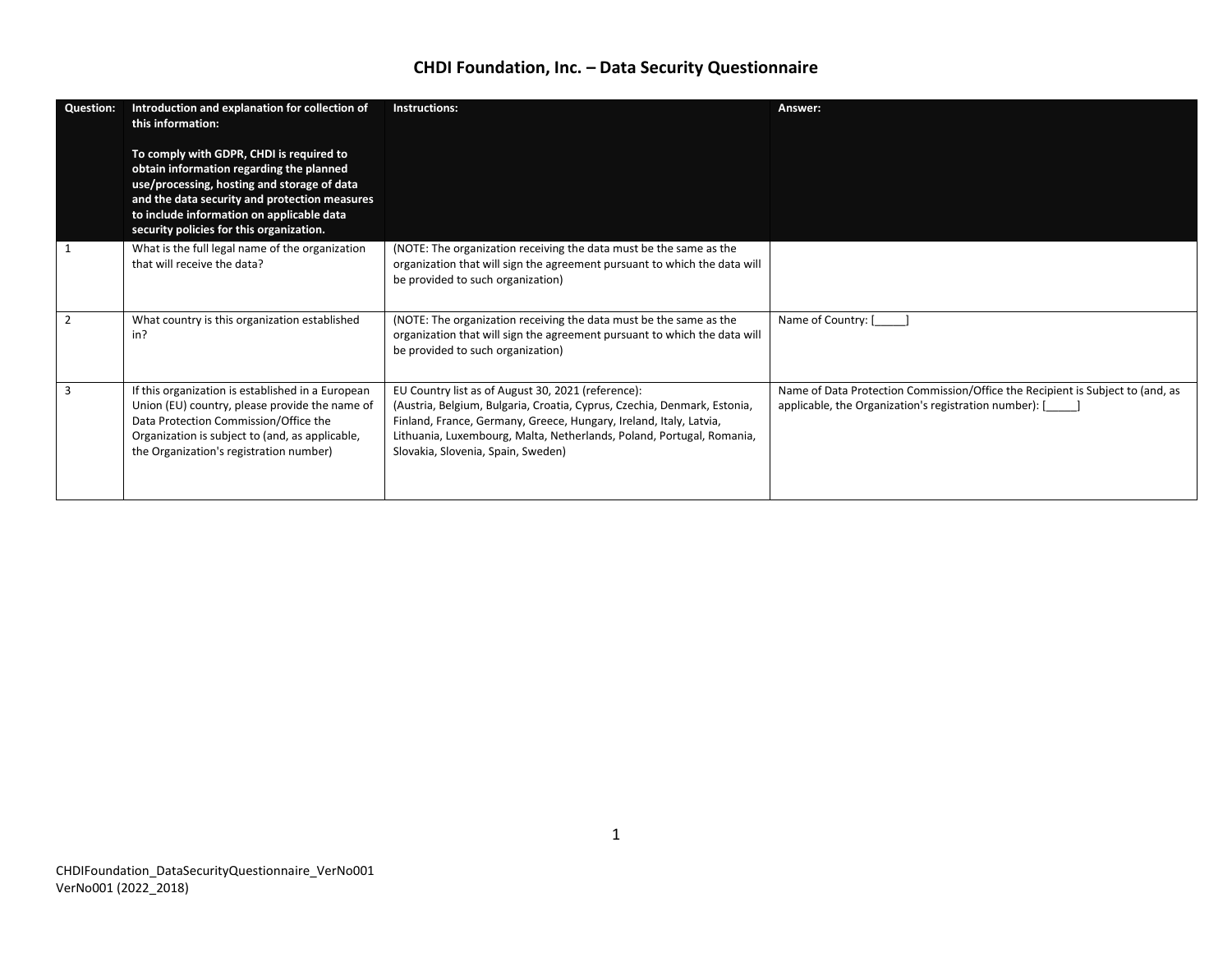| <b>Question:</b> | Introduction and explanation for collection of<br>this information:                                                                                                                                                                                                           | Instructions:                                                                                                                                                                                                                                                                                                       | Answer:                                                                                                                                  |
|------------------|-------------------------------------------------------------------------------------------------------------------------------------------------------------------------------------------------------------------------------------------------------------------------------|---------------------------------------------------------------------------------------------------------------------------------------------------------------------------------------------------------------------------------------------------------------------------------------------------------------------|------------------------------------------------------------------------------------------------------------------------------------------|
|                  | To comply with GDPR, CHDI is required to<br>obtain information regarding the planned<br>use/processing, hosting and storage of data<br>and the data security and protection measures<br>to include information on applicable data<br>security policies for this organization. |                                                                                                                                                                                                                                                                                                                     |                                                                                                                                          |
|                  | What is the full legal name of the organization<br>that will receive the data?                                                                                                                                                                                                | (NOTE: The organization receiving the data must be the same as the<br>organization that will sign the agreement pursuant to which the data will<br>be provided to such organization)                                                                                                                                |                                                                                                                                          |
| $\overline{2}$   | What country is this organization established<br>in?                                                                                                                                                                                                                          | (NOTE: The organization receiving the data must be the same as the<br>organization that will sign the agreement pursuant to which the data will<br>be provided to such organization)                                                                                                                                | Name of Country: [                                                                                                                       |
| $\overline{3}$   | If this organization is established in a European<br>Union (EU) country, please provide the name of<br>Data Protection Commission/Office the<br>Organization is subject to (and, as applicable,<br>the Organization's registration number)                                    | EU Country list as of August 30, 2021 (reference):<br>(Austria, Belgium, Bulgaria, Croatia, Cyprus, Czechia, Denmark, Estonia,<br>Finland, France, Germany, Greece, Hungary, Ireland, Italy, Latvia,<br>Lithuania, Luxembourg, Malta, Netherlands, Poland, Portugal, Romania,<br>Slovakia, Slovenia, Spain, Sweden) | Name of Data Protection Commission/Office the Recipient is Subject to (and, as<br>applicable, the Organization's registration number): [ |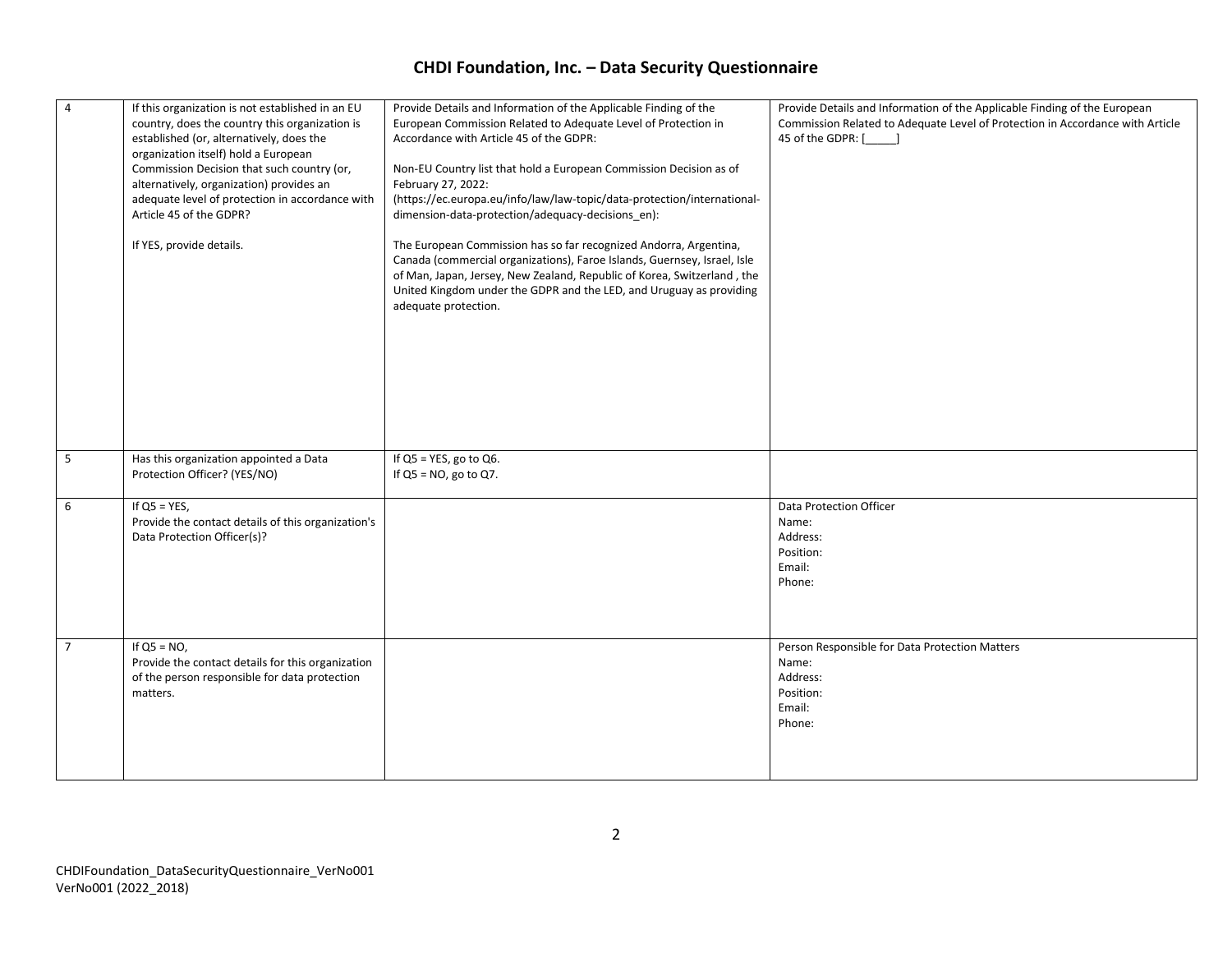| $\overline{4}$ | If this organization is not established in an EU<br>country, does the country this organization is<br>established (or, alternatively, does the<br>organization itself) hold a European<br>Commission Decision that such country (or,<br>alternatively, organization) provides an<br>adequate level of protection in accordance with<br>Article 45 of the GDPR?<br>If YES, provide details. | Provide Details and Information of the Applicable Finding of the<br>European Commission Related to Adequate Level of Protection in<br>Accordance with Article 45 of the GDPR:<br>Non-EU Country list that hold a European Commission Decision as of<br>February 27, 2022:<br>(https://ec.europa.eu/info/law/law-topic/data-protection/international-<br>dimension-data-protection/adequacy-decisions en):<br>The European Commission has so far recognized Andorra, Argentina,<br>Canada (commercial organizations), Faroe Islands, Guernsey, Israel, Isle<br>of Man, Japan, Jersey, New Zealand, Republic of Korea, Switzerland, the<br>United Kingdom under the GDPR and the LED, and Uruguay as providing<br>adequate protection. | Provide Details and Information of the Applicable Finding of the European<br>Commission Related to Adequate Level of Protection in Accordance with Article<br>45 of the GDPR: [ |
|----------------|--------------------------------------------------------------------------------------------------------------------------------------------------------------------------------------------------------------------------------------------------------------------------------------------------------------------------------------------------------------------------------------------|--------------------------------------------------------------------------------------------------------------------------------------------------------------------------------------------------------------------------------------------------------------------------------------------------------------------------------------------------------------------------------------------------------------------------------------------------------------------------------------------------------------------------------------------------------------------------------------------------------------------------------------------------------------------------------------------------------------------------------------|---------------------------------------------------------------------------------------------------------------------------------------------------------------------------------|
| 5<br>6         | Has this organization appointed a Data<br>Protection Officer? (YES/NO)<br>If $QS = YES$ ,<br>Provide the contact details of this organization's<br>Data Protection Officer(s)?                                                                                                                                                                                                             | If $QS = YES$ , go to $Q6$ .<br>If $QS = NO$ , go to $Q7$ .                                                                                                                                                                                                                                                                                                                                                                                                                                                                                                                                                                                                                                                                          | Data Protection Officer<br>Name:<br>Address:<br>Position:                                                                                                                       |
|                |                                                                                                                                                                                                                                                                                                                                                                                            |                                                                                                                                                                                                                                                                                                                                                                                                                                                                                                                                                                                                                                                                                                                                      | Email:<br>Phone:                                                                                                                                                                |
| $\overline{7}$ | If $QS = NO$ ,<br>Provide the contact details for this organization<br>of the person responsible for data protection<br>matters.                                                                                                                                                                                                                                                           |                                                                                                                                                                                                                                                                                                                                                                                                                                                                                                                                                                                                                                                                                                                                      | Person Responsible for Data Protection Matters<br>Name:<br>Address:<br>Position:<br>Email:<br>Phone:                                                                            |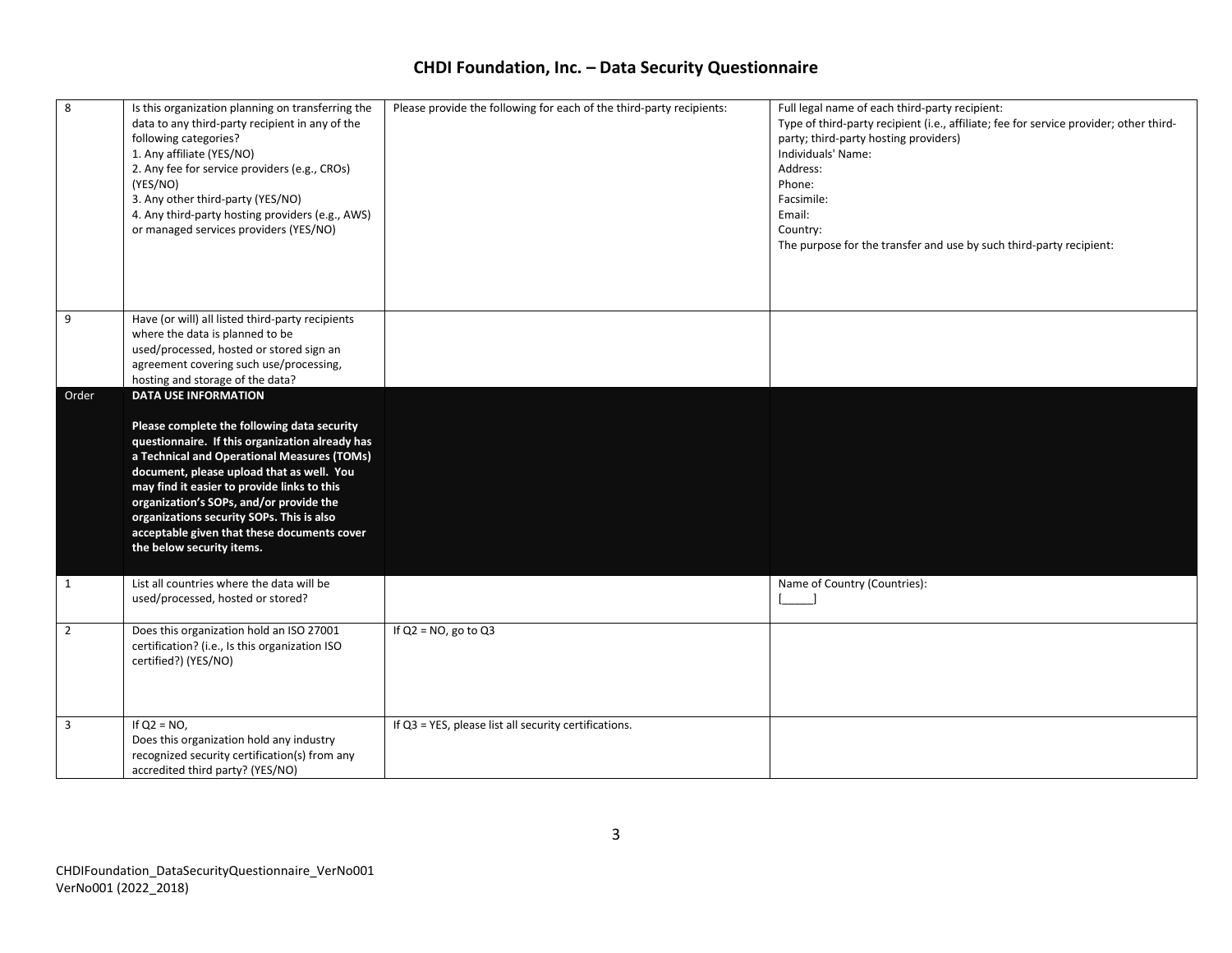| $\overline{\mathbf{8}}$ | Is this organization planning on transferring the<br>data to any third-party recipient in any of the<br>following categories?<br>1. Any affiliate (YES/NO)<br>2. Any fee for service providers (e.g., CROs)<br>(YES/NO)<br>3. Any other third-party (YES/NO)<br>4. Any third-party hosting providers (e.g., AWS)<br>or managed services providers (YES/NO)                                                                                   | Please provide the following for each of the third-party recipients: | Full legal name of each third-party recipient:<br>Type of third-party recipient (i.e., affiliate; fee for service provider; other third-<br>party; third-party hosting providers)<br>Individuals' Name:<br>Address:<br>Phone:<br>Facsimile:<br>Email:<br>Country:<br>The purpose for the transfer and use by such third-party recipient: |
|-------------------------|----------------------------------------------------------------------------------------------------------------------------------------------------------------------------------------------------------------------------------------------------------------------------------------------------------------------------------------------------------------------------------------------------------------------------------------------|----------------------------------------------------------------------|------------------------------------------------------------------------------------------------------------------------------------------------------------------------------------------------------------------------------------------------------------------------------------------------------------------------------------------|
| 9                       | Have (or will) all listed third-party recipients<br>where the data is planned to be<br>used/processed, hosted or stored sign an<br>agreement covering such use/processing,<br>hosting and storage of the data?                                                                                                                                                                                                                               |                                                                      |                                                                                                                                                                                                                                                                                                                                          |
| Order                   | <b>DATA USE INFORMATION</b><br>Please complete the following data security<br>questionnaire. If this organization already has<br>a Technical and Operational Measures (TOMs)<br>document, please upload that as well. You<br>may find it easier to provide links to this<br>organization's SOPs, and/or provide the<br>organizations security SOPs. This is also<br>acceptable given that these documents cover<br>the below security items. |                                                                      |                                                                                                                                                                                                                                                                                                                                          |
| $\mathbf{1}$            | List all countries where the data will be<br>used/processed, hosted or stored?                                                                                                                                                                                                                                                                                                                                                               |                                                                      | Name of Country (Countries):                                                                                                                                                                                                                                                                                                             |
| $\overline{2}$          | Does this organization hold an ISO 27001<br>certification? (i.e., Is this organization ISO<br>certified?) (YES/NO)                                                                                                                                                                                                                                                                                                                           | If $Q2 = NO$ , go to $Q3$                                            |                                                                                                                                                                                                                                                                                                                                          |
| $\overline{3}$          | If $Q2 = NO$ ,<br>Does this organization hold any industry<br>recognized security certification(s) from any<br>accredited third party? (YES/NO)                                                                                                                                                                                                                                                                                              | If Q3 = YES, please list all security certifications.                |                                                                                                                                                                                                                                                                                                                                          |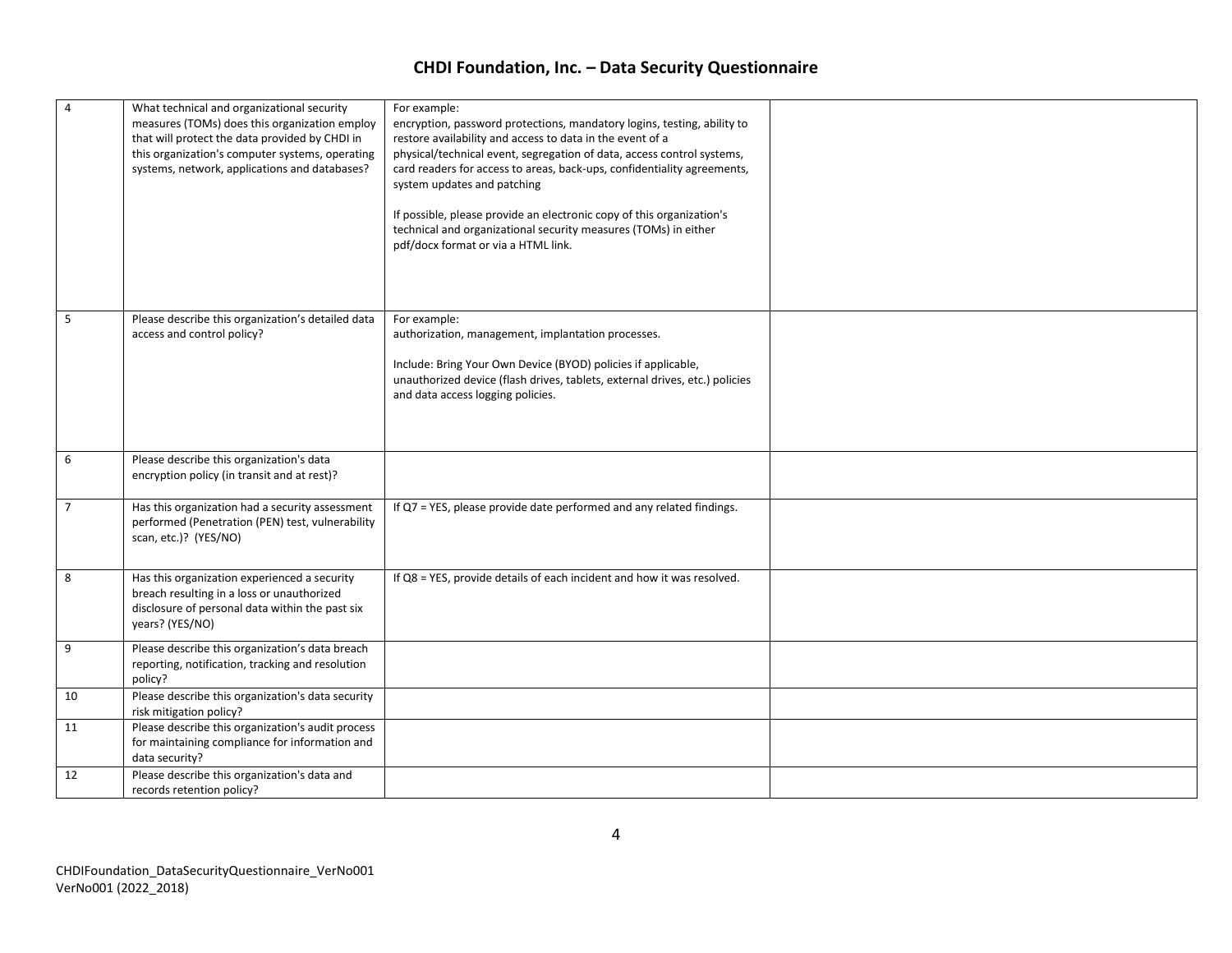| $\overline{4}$ | What technical and organizational security<br>measures (TOMs) does this organization employ<br>that will protect the data provided by CHDI in<br>this organization's computer systems, operating<br>systems, network, applications and databases? | For example:<br>encryption, password protections, mandatory logins, testing, ability to<br>restore availability and access to data in the event of a<br>physical/technical event, segregation of data, access control systems,<br>card readers for access to areas, back-ups, confidentiality agreements,<br>system updates and patching<br>If possible, please provide an electronic copy of this organization's<br>technical and organizational security measures (TOMs) in either<br>pdf/docx format or via a HTML link. |  |
|----------------|---------------------------------------------------------------------------------------------------------------------------------------------------------------------------------------------------------------------------------------------------|-----------------------------------------------------------------------------------------------------------------------------------------------------------------------------------------------------------------------------------------------------------------------------------------------------------------------------------------------------------------------------------------------------------------------------------------------------------------------------------------------------------------------------|--|
| 5              | Please describe this organization's detailed data<br>access and control policy?                                                                                                                                                                   | For example:<br>authorization, management, implantation processes.<br>Include: Bring Your Own Device (BYOD) policies if applicable,<br>unauthorized device (flash drives, tablets, external drives, etc.) policies<br>and data access logging policies.                                                                                                                                                                                                                                                                     |  |
| 6              | Please describe this organization's data<br>encryption policy (in transit and at rest)?                                                                                                                                                           |                                                                                                                                                                                                                                                                                                                                                                                                                                                                                                                             |  |
| $\overline{7}$ | Has this organization had a security assessment<br>performed (Penetration (PEN) test, vulnerability<br>scan, etc.)? (YES/NO)                                                                                                                      | If Q7 = YES, please provide date performed and any related findings.                                                                                                                                                                                                                                                                                                                                                                                                                                                        |  |
| 8              | Has this organization experienced a security<br>breach resulting in a loss or unauthorized<br>disclosure of personal data within the past six<br>years? (YES/NO)                                                                                  | If Q8 = YES, provide details of each incident and how it was resolved.                                                                                                                                                                                                                                                                                                                                                                                                                                                      |  |
| 9              | Please describe this organization's data breach<br>reporting, notification, tracking and resolution<br>policy?                                                                                                                                    |                                                                                                                                                                                                                                                                                                                                                                                                                                                                                                                             |  |
| 10             | Please describe this organization's data security<br>risk mitigation policy?                                                                                                                                                                      |                                                                                                                                                                                                                                                                                                                                                                                                                                                                                                                             |  |
| 11             | Please describe this organization's audit process<br>for maintaining compliance for information and<br>data security?                                                                                                                             |                                                                                                                                                                                                                                                                                                                                                                                                                                                                                                                             |  |
| 12             | Please describe this organization's data and<br>records retention policy?                                                                                                                                                                         |                                                                                                                                                                                                                                                                                                                                                                                                                                                                                                                             |  |